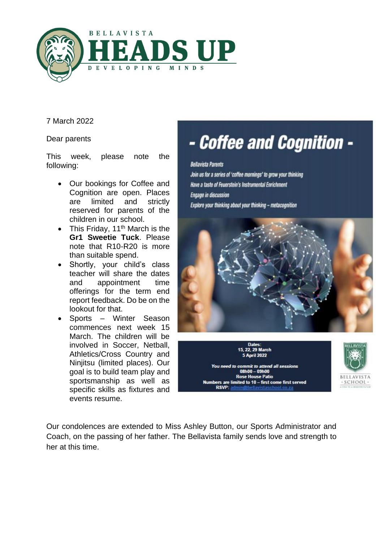

7 March 2022

Dear parents

This week, please note the following:

- Our bookings for Coffee and Cognition are open. Places are limited and strictly reserved for parents of the children in our school.
- This Friday,  $11<sup>th</sup>$  March is the **Gr1 Sweetie Tuck**. Please note that R10-R20 is more than suitable spend.
- Shortly, your child's class teacher will share the dates and appointment time offerings for the term end report feedback. Do be on the lookout for that.
- Sports Winter Season commences next week 15 March. The children will be involved in Soccer, Netball, Athletics/Cross Country and Ninjitsu (limited places). Our goal is to build team play and sportsmanship as well as specific skills as fixtures and events resume.

# - Coffee and Cognition -

#### **Bellavista Parents**

Join us for a series of 'coffee mornings' to grow your thinking Have a taste of Feuerstein's Instrumental Enrichment **Engage in discussion** Explore your thinking about your thinking - metacognition



**22. 29 March** ril 2022



ou need to commit to attend all sessions<br>08h00 = 09h00 **Rose House Patio** bers are limited to 10 – first come first served **RSVP-**

Our condolences are extended to Miss Ashley Button, our Sports Administrator and Coach, on the passing of her father. The Bellavista family sends love and strength to her at this time.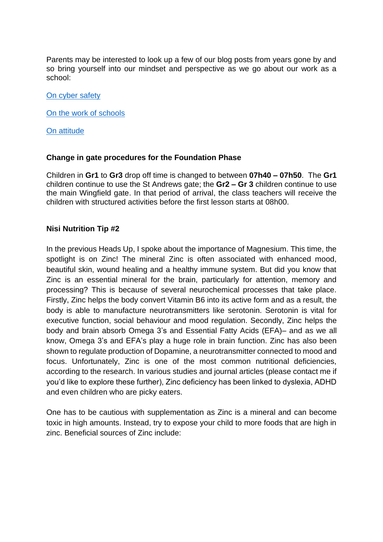Parents may be interested to look up a few of our blog posts from years gone by and so bring yourself into our mindset and perspective as we go about our work as a school:

### [On cyber safety](https://bellavista.org.za/give-them-the-keys-why-dont-you/)

[On the work of schools](https://bellavista.org.za/schools-arent-about-sugar-saccharine-and-salesmanship-schools-are-about-reading-riting-and-rithmatic/)

[On attitude](https://bellavista.org.za/sitting-on-a-cactus/)

# **Change in gate procedures for the Foundation Phase**

Children in **Gr1** to **Gr3** drop off time is changed to between **07h40 – 07h50**. The **Gr1** children continue to use the St Andrews gate; the **Gr2 – Gr 3** children continue to use the main Wingfield gate. In that period of arrival, the class teachers will receive the children with structured activities before the first lesson starts at 08h00.

# **Nisi Nutrition Tip #2**

In the previous Heads Up, I spoke about the importance of Magnesium. This time, the spotlight is on Zinc! The mineral Zinc is often associated with enhanced mood, beautiful skin, wound healing and a healthy immune system. But did you know that Zinc is an essential mineral for the brain, particularly for attention, memory and processing? This is because of several neurochemical processes that take place. Firstly, Zinc helps the body convert Vitamin B6 into its active form and as a result, the body is able to manufacture neurotransmitters like serotonin. Serotonin is vital for executive function, social behaviour and mood regulation. Secondly, Zinc helps the body and brain absorb Omega 3's and Essential Fatty Acids (EFA)– and as we all know, Omega 3's and EFA's play a huge role in brain function. Zinc has also been shown to regulate production of Dopamine, a neurotransmitter connected to mood and focus. Unfortunately, Zinc is one of the most common nutritional deficiencies, according to the research. In various studies and journal articles (please contact me if you'd like to explore these further), Zinc deficiency has been linked to dyslexia, ADHD and even children who are picky eaters.

One has to be cautious with supplementation as Zinc is a mineral and can become toxic in high amounts. Instead, try to expose your child to more foods that are high in zinc. Beneficial sources of Zinc include: